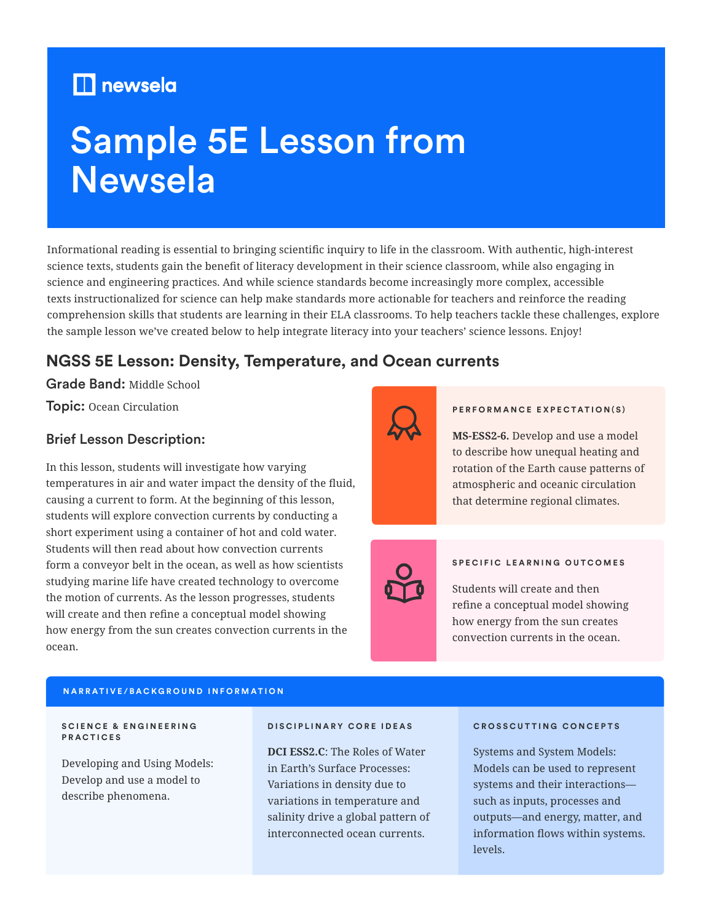# **newsela**

# Sample 5E Lesson from Newsela

Informational reading is essential to bringing scientific inquiry to life in the classroom. With authentic, high-interest science texts, students gain the benefit of literacy development in their science classroom, while also engaging in science and engineering practices. And while science standards become increasingly more complex, accessible texts instructionalized for science can help make standards more actionable for teachers and reinforce the reading comprehension skills that students are learning in their ELA classrooms. To help teachers tackle these challenges, explore the sample lesson we've created below to help integrate literacy into your teachers' science lessons. Enjoy!

# **NGSS 5E Lesson: Density, Temperature, and Ocean currents**

Grade Band: Middle School

Topic: Ocean Circulation

# Brief Lesson Description:

In this lesson, students will investigate how varying temperatures in air and water impact the density of the fluid, causing a current to form. At the beginning of this lesson, students will explore convection currents by conducting a short experiment using a container of hot and cold water. Students will then read about how convection currents form a conveyor belt in the ocean, as well as how scientists studying marine life have created technology to overcome the motion of currents. As the lesson progresses, students will create and then refine a conceptual model showing how energy from the sun creates convection currents in the ocean.



#### **PERFORMANCE EXPECTATION(S)**

**MS-ESS2-6.** Develop and use a model to describe how unequal heating and rotation of the Earth cause patterns of atmospheric and oceanic circulation that determine regional climates.



#### **SPECIFIC LEARNING OUTCOMES**

Students will create and then refine a conceptual model showing how energy from the sun creates convection currents in the ocean.

#### **NARRATIVE/BACKGROUND INFORMATION**

#### **S C I E N C E & E N G I N E E R I N G PRACTICES**

Developing and Using Models: Develop and use a model to describe phenomena.

#### **DISCIPLINARY CORE IDEAS**

**DCI ESS2.C**: The Roles of Water in Earth's Surface Processes: Variations in density due to variations in temperature and salinity drive a global pattern of interconnected ocean currents.

#### **CROSSCUTTING CONCEPTS**

Systems and System Models: Models can be used to represent systems and their interactions such as inputs, processes and outputs—and energy, matter, and information flows within systems. levels.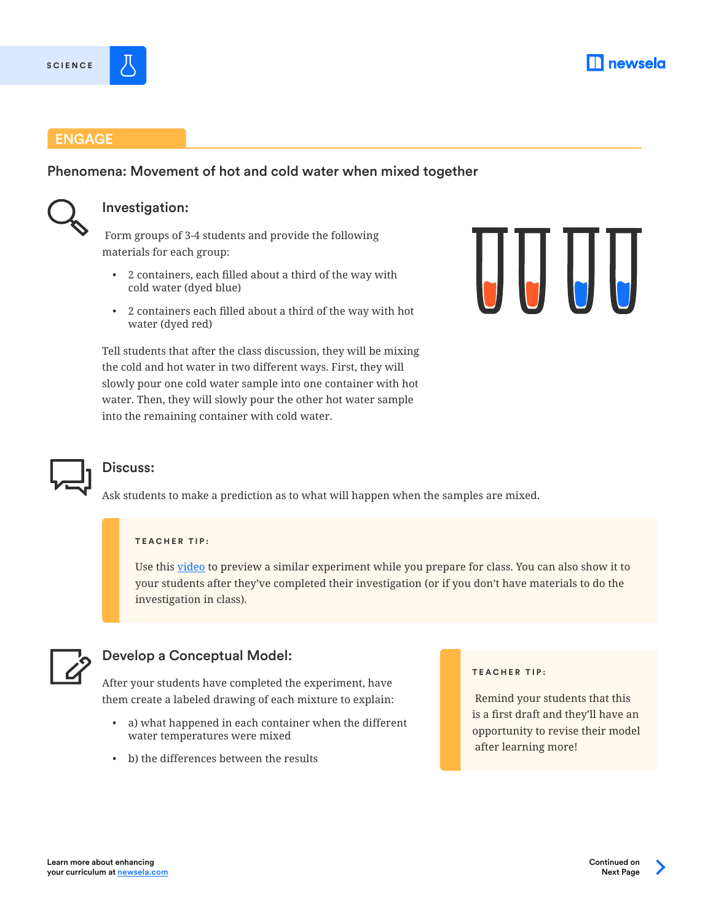





## ENGAGE

# Phenomena: Movement of hot and cold water when mixed together



## Investigation:

 Form groups of 3-4 students and provide the following materials for each group:

- 2 containers, each filled about a third of the way with cold water (dyed blue)
- 2 containers each filled about a third of the way with hot water (dyed red)

Tell students that after the class discussion, they will be mixing the cold and hot water in two different ways. First, they will slowly pour one cold water sample into one container with hot water. Then, they will slowly pour the other hot water sample into the remaining container with cold water.



# Discuss:

Ask students to make a prediction as to what will happen when the samples are mixed.

#### **TEACHER TIP:**

Use this [video](https://www.youtube.com/watch?v=UYlVmgn6iDk) to preview a similar experiment while you prepare for class. You can also show it to your students after they've completed their investigation (or if you don't have materials to do the investigation in class).



# Develop a Conceptual Model:

After your students have completed the experiment, have them create a labeled drawing of each mixture to explain:

- a) what happened in each container when the different water temperatures were mixed
- b) the differences between the results

#### **TEACHER TIP:**

 Remind your students that this is a first draft and they'll have an opportunity to revise their model after learning more!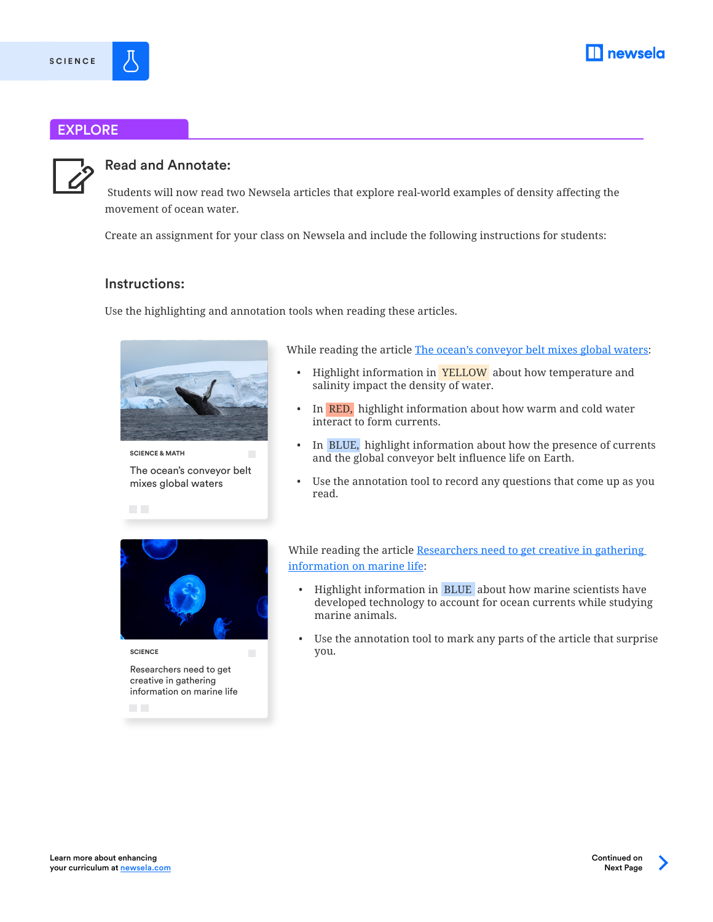

# EXPLORE



**SCIENCE**

# Read and Annotate:

 Students will now read two Newsela articles that explore real-world examples of density affecting the movement of ocean water.

Create an assignment for your class on Newsela and include the following instructions for students:

## Instructions:

Use the highlighting and annotation tools when reading these articles.



**SCIENCE & MATH**  $\overline{\phantom{a}}$ The ocean's conveyor belt mixes global waters

While reading the article [The ocean's conveyor belt mixes global waters:](https://newsela.com/read/DIY-tech-helps-marine-scientists/id/42159/)

- Highlight information in **YELLOW** about how temperature and salinity impact the density of water.
- In **RED**, highlight information about how warm and cold water interact to form currents.
- In BLUE, highlight information about how the presence of currents and the global conveyor belt influence life on Earth.
- Use the annotation tool to record any questions that come up as you read.



 $\mathcal{L}_{\mathcal{A}}$ 

Researchers need to get creative in gathering information on marine life **SCIENCE**

**The Co** 

While reading the article [Researchers need to get creative in gathering](https://newsela.com/read/DIY-tech-helps-marine-scientists/id/42159/)  [information on marine life](https://newsela.com/read/DIY-tech-helps-marine-scientists/id/42159/):

- Highlight information in BLUE about how marine scientists have developed technology to account for ocean currents while studying marine animals.
- Use the annotation tool to mark any parts of the article that surprise you.